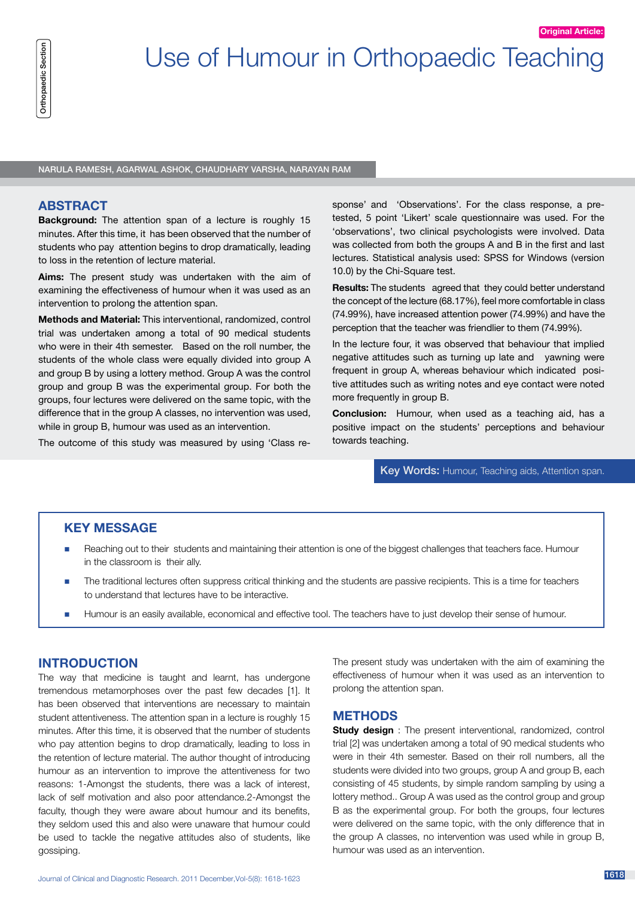NARULA RAMESH, AGARWAL ASHOK, CHAUDHARY VARSHA, NARAYAN RAM

### **ABSTRACT**

**Background:** The attention span of a lecture is roughly 15 minutes. After this time, it has been observed that the number of students who pay attention begins to drop dramatically, leading to loss in the retention of lecture material.

**Aims:** The present study was undertaken with the aim of examining the effectiveness of humour when it was used as an intervention to prolong the attention span.

**Methods and Material:** This interventional, randomized, control trial was undertaken among a total of 90 medical students who were in their 4th semester. Based on the roll number, the students of the whole class were equally divided into group A and group B by using a lottery method. Group A was the control group and group B was the experimental group. For both the groups, four lectures were delivered on the same topic, with the difference that in the group A classes, no intervention was used, while in group B, humour was used as an intervention.

The outcome of this study was measured by using 'Class re-

sponse' and 'Observations'. For the class response, a pretested, 5 point 'Likert' scale questionnaire was used. For the 'observations', two clinical psychologists were involved. Data was collected from both the groups A and B in the first and last lectures. Statistical analysis used: SPSS for Windows (version 10.0) by the Chi-Square test.

**Original Article:**

**Results:** The students agreed that they could better understand the concept of the lecture (68.17%), feel more comfortable in class (74.99%), have increased attention power (74.99%) and have the perception that the teacher was friendlier to them (74.99%).

In the lecture four, it was observed that behaviour that implied negative attitudes such as turning up late and yawning were frequent in group A, whereas behaviour which indicated positive attitudes such as writing notes and eye contact were noted more frequently in group B.

**Conclusion:** Humour, when used as a teaching aid, has a positive impact on the students' perceptions and behaviour towards teaching.

Key Words: Humour, Teaching aids, Attention span.

### **KEY MESSAGE**

- Reaching out to their students and maintaining their attention is one of the biggest challenges that teachers face. Humour in the classroom is their ally.
- The traditional lectures often suppress critical thinking and the students are passive recipients. This is a time for teachers to understand that lectures have to be interactive.
- Humour is an easily available, economical and effective tool. The teachers have to just develop their sense of humour.

## **INTRODUCTION**

 $\begin{minipage}[t]{0.8cm\begin{array}{l} \begin{array}{l} \begin{array}{l} \begin{array}{l} \begin{array}{l} \begin{array}{l} \begin{array}{l} \begin{array}{l} \begin{array}{l} \begin{array}{l} \begin{array}{l} \begin{array}{l} \begin{array}{l} \begin{array}{l} \begin{array}{l} \begin{array}{l} \begin{array}{l} \begin{array}{l} \begin{array}{l} \begin{array}{l} \begin{array}{l} \begin{array}{l} \begin{array}{l} \begin{array}{l} \begin{array}{l} \begin{array}{l} \begin{array}{l} \begin{array}{l} \begin{array}{l} \begin{array$ The way that medicine is taught and learnt, has undergone tremendous metamorphoses over the past few decades [1]. It has been observed that interventions are necessary to maintain student attentiveness. The attention span in a lecture is roughly 15 minutes. After this time, it is observed that the number of students who pay attention begins to drop dramatically, leading to loss in the retention of lecture material. The author thought of introducing humour as an intervention to improve the attentiveness for two reasons: 1-Amongst the students, there was a lack of interest, lack of self motivation and also poor attendance.2-Amongst the faculty, though they were aware about humour and its benefits, they seldom used this and also were unaware that humour could be used to tackle the negative attitudes also of students, like gossiping.

The present study was undertaken with the aim of examining the effectiveness of humour when it was used as an intervention to prolong the attention span.

#### **METHODS**

**Study design** : The present interventional, randomized, control trial [2] was undertaken among a total of 90 medical students who were in their 4th semester. Based on their roll numbers, all the students were divided into two groups, group A and group B, each consisting of 45 students, by simple random sampling by using a lottery method.. Group A was used as the control group and group B as the experimental group. For both the groups, four lectures were delivered on the same topic, with the only difference that in the group A classes, no intervention was used while in group B, humour was used as an intervention.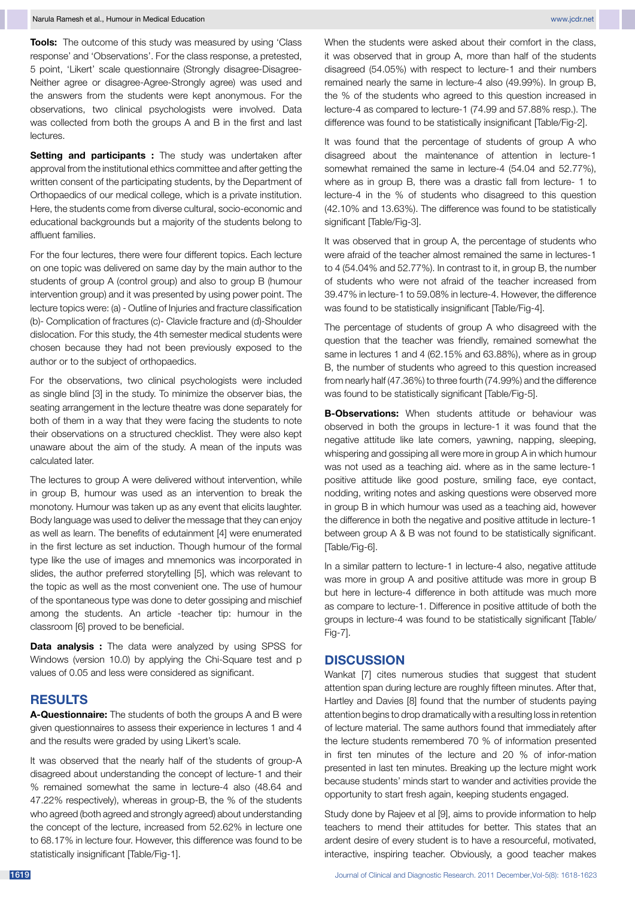**Tools:** The outcome of this study was measured by using 'Class response' and 'Observations'. For the class response, a pretested, 5 point, 'Likert' scale questionnaire (Strongly disagree-Disagree-Neither agree or disagree-Agree-Strongly agree) was used and the answers from the students were kept anonymous. For the observations, two clinical psychologists were involved. Data was collected from both the groups A and B in the first and last lectures.

**Setting and participants :** The study was undertaken after approval from the institutional ethics committee and after getting the written consent of the participating students, by the Department of Orthopaedics of our medical college, which is a private institution. Here, the students come from diverse cultural, socio-economic and educational backgrounds but a majority of the students belong to affluent families.

For the four lectures, there were four different topics. Each lecture on one topic was delivered on same day by the main author to the students of group A (control group) and also to group B (humour intervention group) and it was presented by using power point. The lecture topics were: (a) - Outline of Injuries and fracture classification (b)- Complication of fractures (c)- Clavicle fracture and (d)-Shoulder dislocation. For this study, the 4th semester medical students were chosen because they had not been previously exposed to the author or to the subject of orthopaedics.

For the observations, two clinical psychologists were included as single blind [3] in the study. To minimize the observer bias, the seating arrangement in the lecture theatre was done separately for both of them in a way that they were facing the students to note their observations on a structured checklist. They were also kept unaware about the aim of the study. A mean of the inputs was calculated later.

The lectures to group A were delivered without intervention, while in group B, humour was used as an intervention to break the monotony. Humour was taken up as any event that elicits laughter. Body language was used to deliver the message that they can enjoy as well as learn. The benefits of edutainment [4] were enumerated in the first lecture as set induction. Though humour of the formal type like the use of images and mnemonics was incorporated in slides, the author preferred storytelling [5], which was relevant to the topic as well as the most convenient one. The use of humour of the spontaneous type was done to deter gossiping and mischief among the students. An article -teacher tip: humour in the classroom [6] proved to be beneficial.

**Data analysis :** The data were analyzed by using SPSS for Windows (version 10.0) by applying the Chi-Square test and p values of 0.05 and less were considered as significant.

#### **RESULTS**

**A-Questionnaire:** The students of both the groups A and B were given questionnaires to assess their experience in lectures 1 and 4 and the results were graded by using Likert's scale.

It was observed that the nearly half of the students of group-A disagreed about understanding the concept of lecture-1 and their % remained somewhat the same in lecture-4 also (48.64 and 47.22% respectively), whereas in group-B, the % of the students who agreed (both agreed and strongly agreed) about understanding the concept of the lecture, increased from 52.62% in lecture one to 68.17% in lecture four. However, this difference was found to be statistically insignificant [Table/Fig-1].

When the students were asked about their comfort in the class, it was observed that in group A, more than half of the students disagreed (54.05%) with respect to lecture-1 and their numbers remained nearly the same in lecture-4 also (49.99%). In group B, the % of the students who agreed to this question increased in lecture-4 as compared to lecture-1 (74.99 and 57.88% resp.). The difference was found to be statistically insignificant [Table/Fig-2].

It was found that the percentage of students of group A who disagreed about the maintenance of attention in lecture-1 somewhat remained the same in lecture-4 (54.04 and 52.77%), where as in group B, there was a drastic fall from lecture- 1 to lecture-4 in the % of students who disagreed to this question (42.10% and 13.63%). The difference was found to be statistically significant [Table/Fig-3].

It was observed that in group A, the percentage of students who were afraid of the teacher almost remained the same in lectures-1 to 4 (54.04% and 52.77%). In contrast to it, in group B, the number of students who were not afraid of the teacher increased from 39.47% in lecture-1 to 59.08% in lecture-4. However, the difference was found to be statistically insignificant [Table/Fig-4].

The percentage of students of group A who disagreed with the question that the teacher was friendly, remained somewhat the same in lectures 1 and 4 (62.15% and 63.88%), where as in group B, the number of students who agreed to this question increased from nearly half (47.36%) to three fourth (74.99%) and the difference was found to be statistically significant [Table/Fig-5].

**B-Observations:** When students attitude or behaviour was observed in both the groups in lecture-1 it was found that the negative attitude like late comers, yawning, napping, sleeping, whispering and gossiping all were more in group A in which humour was not used as a teaching aid. where as in the same lecture-1 positive attitude like good posture, smiling face, eye contact, nodding, writing notes and asking questions were observed more in group B in which humour was used as a teaching aid, however the difference in both the negative and positive attitude in lecture-1 between group A & B was not found to be statistically significant. [Table/Fig-6].

In a similar pattern to lecture-1 in lecture-4 also, negative attitude was more in group A and positive attitude was more in group B but here in lecture-4 difference in both attitude was much more as compare to lecture-1. Difference in positive attitude of both the groups in lecture-4 was found to be statistically significant [Table/ Fig-7].

### **DISCUSSION**

Wankat [7] cites numerous studies that suggest that student attention span during lecture are roughly fifteen minutes. After that, Hartley and Davies [8] found that the number of students paying attention begins to drop dramatically with a resulting loss in retention of lecture material. The same authors found that immediately after the lecture students remembered 70 % of information presented in first ten minutes of the lecture and 20 % of infor-mation presented in last ten minutes. Breaking up the lecture might work because students' minds start to wander and activities provide the opportunity to start fresh again, keeping students engaged.

Study done by Rajeev et al [9], aims to provide information to help teachers to mend their attitudes for better. This states that an ardent desire of every student is to have a resourceful, motivated, interactive, inspiring teacher. Obviously, a good teacher makes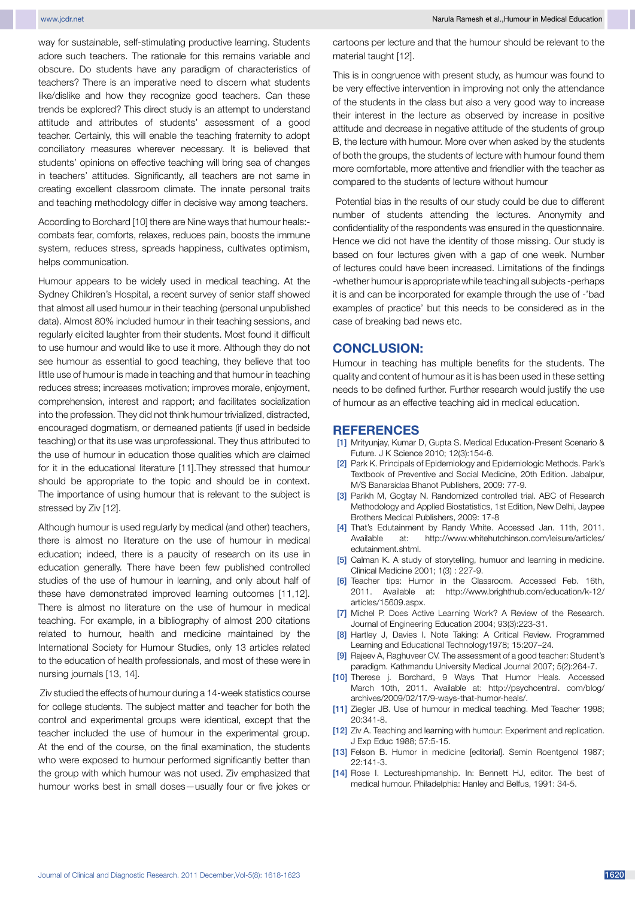way for sustainable, self-stimulating productive learning. Students adore such teachers. The rationale for this remains variable and obscure. Do students have any paradigm of characteristics of teachers? There is an imperative need to discern what students like/dislike and how they recognize good teachers. Can these trends be explored? This direct study is an attempt to understand attitude and attributes of students' assessment of a good teacher. Certainly, this will enable the teaching fraternity to adopt conciliatory measures wherever necessary. It is believed that students' opinions on effective teaching will bring sea of changes in teachers' attitudes. Significantly, all teachers are not same in creating excellent classroom climate. The innate personal traits and teaching methodology differ in decisive way among teachers.

According to Borchard [10] there are Nine ways that humour heals: combats fear, comforts, relaxes, reduces pain, boosts the immune system, reduces stress, spreads happiness, cultivates optimism, helps communication.

Humour appears to be widely used in medical teaching. At the Sydney Children's Hospital, a recent survey of senior staff showed that almost all used humour in their teaching (personal unpublished data). Almost 80% included humour in their teaching sessions, and regularly elicited laughter from their students. Most found it difficult to use humour and would like to use it more. Although they do not see humour as essential to good teaching, they believe that too little use of humour is made in teaching and that humour in teaching reduces stress; increases motivation; improves morale, enjoyment, comprehension, interest and rapport; and facilitates socialization into the profession. They did not think humour trivialized, distracted, encouraged dogmatism, or demeaned patients (if used in bedside teaching) or that its use was unprofessional. They thus attributed to the use of humour in education those qualities which are claimed for it in the educational literature [11].They stressed that humour should be appropriate to the topic and should be in context. The importance of using humour that is relevant to the subject is stressed by Ziv [12].

Although humour is used regularly by medical (and other) teachers, there is almost no literature on the use of humour in medical education; indeed, there is a paucity of research on its use in education generally. There have been few published controlled studies of the use of humour in learning, and only about half of these have demonstrated improved learning outcomes [11,12]. There is almost no literature on the use of humour in medical teaching. For example, in a bibliography of almost 200 citations related to humour, health and medicine maintained by the International Society for Humour Studies, only 13 articles related to the education of health professionals, and most of these were in nursing journals [13, 14].

Ziv studied the effects of humour during a 14-week statistics course for college students. The subject matter and teacher for both the control and experimental groups were identical, except that the teacher included the use of humour in the experimental group. At the end of the course, on the final examination, the students who were exposed to humour performed significantly better than the group with which humour was not used. Ziv emphasized that humour works best in small doses—usually four or five jokes or

cartoons per lecture and that the humour should be relevant to the material taught [12].

This is in congruence with present study, as humour was found to be very effective intervention in improving not only the attendance of the students in the class but also a very good way to increase their interest in the lecture as observed by increase in positive attitude and decrease in negative attitude of the students of group B, the lecture with humour. More over when asked by the students of both the groups, the students of lecture with humour found them more comfortable, more attentive and friendlier with the teacher as compared to the students of lecture without humour

Potential bias in the results of our study could be due to different number of students attending the lectures. Anonymity and confidentiality of the respondents was ensured in the questionnaire. Hence we did not have the identity of those missing. Our study is based on four lectures given with a gap of one week. Number of lectures could have been increased. Limitations of the findings -whether humour is appropriate while teaching all subjects -perhaps it is and can be incorporated for example through the use of -'bad examples of practice' but this needs to be considered as in the case of breaking bad news etc.

#### **CONCLUSION:**

Humour in teaching has multiple benefits for the students. The quality and content of humour as it is has been used in these setting needs to be defined further. Further research would justify the use of humour as an effective teaching aid in medical education.

#### **REFERENCES**

- [1] Mrityunjay, Kumar D, Gupta S. Medical Education-Present Scenario & Future. J K Science 2010; 12(3):154-6.
- [2] Park K. Principals of Epidemiology and Epidemiologic Methods. Park's Textbook of Preventive and Social Medicine, 20th Edition. Jabalpur, M/S Banarsidas Bhanot Publishers, 2009: 77-9.
- [3] Parikh M, Gogtay N. Randomized controlled trial. ABC of Research Methodology and Applied Biostatistics, 1st Edition, New Delhi, Jaypee Brothers Medical Publishers, 2009: 17-8
- [4] That's Edutainment by Randy White. Accessed Jan. 11th, 2011. Available at: http://www.whitehutchinson.com/leisure/articles/ edutainment.shtml.
- [5] Calman K. A study of storytelling, humuor and learning in medicine. Clinical Medicine 2001; 1(3) : 227-9.
- [6] Teacher tips: Humor in the Classroom. Accessed Feb. 16th, 2011. Available at: http://www.brighthub.com/education/k-12/ articles/15609.aspx.
- [7] Michel P. Does Active Learning Work? A Review of the Research. Journal of Engineering Education 2004; 93(3):223-31.
- [8] Hartley J, Davies I. Note Taking: A Critical Review. Programmed Learning and Educational Technology1978; 15:207–24.
- [9] Rajeev A, Raghuveer CV. The assessment of a good teacher: Student's paradigm. Kathmandu University Medical Journal 2007; 5(2):264-7.
- [10] Therese j. Borchard, 9 Ways That Humor Heals. Accessed March 10th, 2011. Available at: http://psychcentral. com/blog/ archives/2009/02/17/9-ways-that-humor-heals/.
- [11] Ziegler JB. Use of humour in medical teaching. Med Teacher 1998; 20:341-8.
- [12] Ziv A. Teaching and learning with humour: Experiment and replication. J Exp Educ 1988; 57:5-15.
- [13] Felson B. Humor in medicine [editorial]. Semin Roentgenol 1987; 22:141-3.
- [14] Rose I. Lectureshipmanship. In: Bennett HJ, editor. The best of medical humour. Philadelphia: Hanley and Belfus, 1991: 34-5.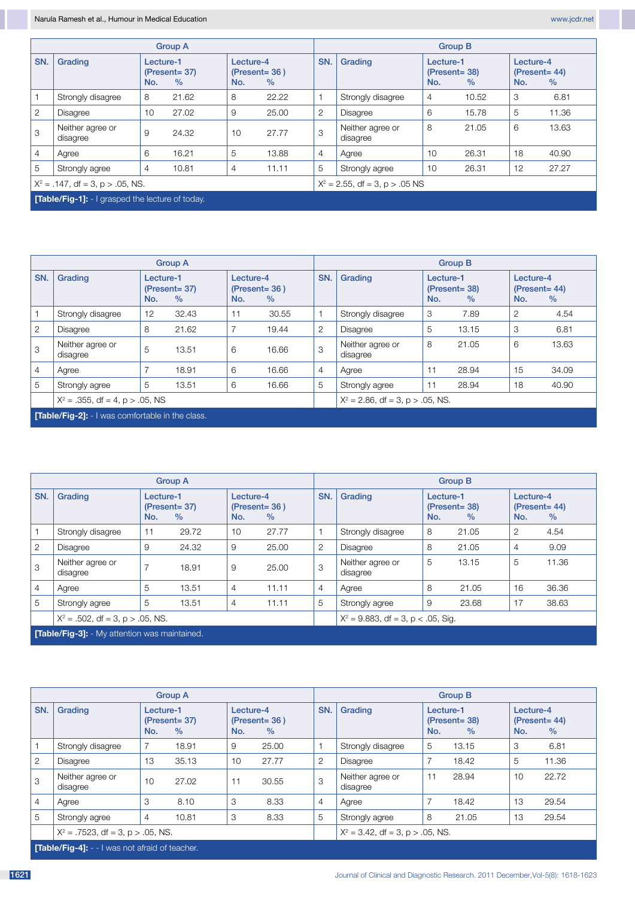|                                     |                                                        | <b>Group A</b>                                        |       | <b>Group B</b>                               |       |                                   |                              |                                              |       |                                      |       |
|-------------------------------------|--------------------------------------------------------|-------------------------------------------------------|-------|----------------------------------------------|-------|-----------------------------------|------------------------------|----------------------------------------------|-------|--------------------------------------|-------|
| SN.                                 | Grading                                                | Lecture-1<br>$(Present = 37)$<br>No.<br>$\frac{0}{0}$ |       | Lecture-4<br>$(Present = 36)$<br>$\%$<br>No. |       | SN.                               | Grading                      | Lecture-1<br>$(Present = 38)$<br>No.<br>$\%$ |       | Lecture-4<br>$(Present = 44)$<br>No. | $\%$  |
|                                     | Strongly disagree                                      | 8                                                     | 21.62 | 8                                            | 22.22 | 1                                 | Strongly disagree            | 4                                            | 10.52 | 3                                    | 6.81  |
| $\overline{2}$                      | <b>Disagree</b>                                        | 10                                                    | 27.02 | 9                                            | 25.00 | $\overline{2}$                    | <b>Disagree</b>              | 6                                            | 15.78 | 5                                    | 11.36 |
| 3                                   | Neither agree or<br>disagree                           | 9                                                     | 24.32 | 10                                           | 27.77 | 3                                 | Neither agree or<br>disagree | 8                                            | 21.05 | 6                                    | 13.63 |
| $\overline{4}$                      | Agree                                                  | 6                                                     | 16.21 | 5                                            | 13.88 | $\overline{4}$                    | Agree                        | 10                                           | 26.31 | 18                                   | 40.90 |
| 5                                   | Strongly agree                                         | $\overline{4}$                                        | 10.81 | 4                                            | 11.11 | 5                                 | Strongly agree               | 10                                           | 26.31 | 12                                   | 27.27 |
| $X^2 = .147$ , df = 3, p > .05, NS. |                                                        |                                                       |       |                                              |       | $X^2 = 2.55$ , df = 3, p > .05 NS |                              |                                              |       |                                      |       |
|                                     | <b>Table/Fig-11:</b> - I grasped the lecture of today. |                                                       |       |                                              |       |                                   |                              |                                              |       |                                      |       |

|                |                                                         | <b>Group A</b>                                        |       | <b>Group B</b>                               |                                     |                |                              |                                              |       |                                      |       |
|----------------|---------------------------------------------------------|-------------------------------------------------------|-------|----------------------------------------------|-------------------------------------|----------------|------------------------------|----------------------------------------------|-------|--------------------------------------|-------|
| SN.            | Grading                                                 | Lecture-1<br>$(Present = 37)$<br>$\frac{0}{0}$<br>No. |       | Lecture-4<br>$(Present = 36)$<br>$\%$<br>No. |                                     | SN.            | Grading                      | Lecture-1<br>$(Present = 38)$<br>No.<br>$\%$ |       | Lecture-4<br>$(Present = 44)$<br>No. | $\%$  |
|                | Strongly disagree                                       | 12                                                    | 32.43 | 11                                           | 30.55                               | $\mathbf{1}$   | Strongly disagree            | 3                                            | 7.89  | 2                                    | 4.54  |
| 2              | <b>Disagree</b>                                         | 8                                                     | 21.62 | $\overline{7}$                               | 19.44                               | 2              | <b>Disagree</b>              | 5                                            | 13.15 | 3                                    | 6.81  |
| 3              | Neither agree or<br>disagree                            | 5                                                     | 13.51 | 6                                            | 16.66                               | 3              | Neither agree or<br>disagree | 8                                            | 21.05 | 6                                    | 13.63 |
| $\overline{4}$ | Agree                                                   | $\overline{7}$                                        | 18.91 | 6                                            | 16.66                               | $\overline{4}$ | Agree                        | 11                                           | 28.94 | 15                                   | 34.09 |
| 5              | Strongly agree                                          | 5                                                     | 13.51 | 6                                            | 16.66                               | 5              | Strongly agree               | 11                                           | 28.94 | 18                                   | 40.90 |
|                | $X^2 = .355$ , df = 4, p > .05, NS                      |                                                       |       |                                              | $X^2 = 2.86$ , df = 3, p > .05, NS. |                |                              |                                              |       |                                      |       |
|                | <b>[Table/Fig-2]:</b> - I was comfortable in the class. |                                                       |       |                                              |                                     |                |                              |                                              |       |                                      |       |

|                |                                                      |                                                       | <b>Group A</b> |                                                       |                                       | <b>Group B</b> |                              |                                              |       |                                      |       |  |
|----------------|------------------------------------------------------|-------------------------------------------------------|----------------|-------------------------------------------------------|---------------------------------------|----------------|------------------------------|----------------------------------------------|-------|--------------------------------------|-------|--|
| SN.            | Grading                                              | Lecture-1<br>$(Present = 37)$<br>$\frac{0}{0}$<br>No. |                | Lecture-4<br>$(Present = 36)$<br>$\frac{0}{0}$<br>No. |                                       | SN.            | Grading                      | Lecture-1<br>$(Present = 38)$<br>No.<br>$\%$ |       | Lecture-4<br>$(Present = 44)$<br>No. | $\%$  |  |
|                | Strongly disagree                                    | 11                                                    | 29.72          | 10                                                    | 27.77                                 | $\mathbf{1}$   | Strongly disagree            | 8                                            | 21.05 | 2                                    | 4.54  |  |
| 2              | Disagree                                             | 9                                                     | 24.32          | 9                                                     | 25.00                                 | $\overline{2}$ | Disagree                     | 8                                            | 21.05 | 4                                    | 9.09  |  |
| 3              | Neither agree or<br>disagree                         | $\overline{7}$                                        | 18.91          | 9                                                     | 25.00                                 | 3              | Neither agree or<br>disagree | 5                                            | 13.15 | 5                                    | 11.36 |  |
| $\overline{4}$ | Agree                                                | 5                                                     | 13.51          | $\overline{4}$                                        | 11.11                                 | $\overline{4}$ | Agree                        | 8                                            | 21.05 | 16                                   | 36.36 |  |
| 5              | Strongly agree                                       | 5                                                     | 13.51          | $\overline{4}$                                        | 11.11                                 | 5              | Strongly agree               | 9                                            | 23.68 | 17                                   | 38.63 |  |
|                | $X^2 = .502$ , df = 3, p > .05, NS.                  |                                                       |                |                                                       | $X^2 = 9.883$ , df = 3, p < .05, Sig. |                |                              |                                              |       |                                      |       |  |
|                | <b>[Table/Fig-3]:</b> - My attention was maintained. |                                                       |                |                                                       |                                       |                |                              |                                              |       |                                      |       |  |

|                                      |                                                       | <b>Group A</b>                               |       | <b>Group B</b>                               |       |     |                                     |                                              |       |                  |                          |  |
|--------------------------------------|-------------------------------------------------------|----------------------------------------------|-------|----------------------------------------------|-------|-----|-------------------------------------|----------------------------------------------|-------|------------------|--------------------------|--|
| SN.                                  | Grading                                               | Lecture-1<br>$(Present = 37)$<br>$\%$<br>No. |       | Lecture-4<br>$(Present = 36)$<br>$\%$<br>No. |       | SN. | Grading                             | Lecture-1<br>$(Present = 38)$<br>No.<br>$\%$ |       | Lecture-4<br>No. | $(Present = 44)$<br>$\%$ |  |
|                                      | Strongly disagree                                     |                                              | 18.91 | 9                                            | 25.00 |     | Strongly disagree                   | 5                                            | 13.15 | 3                | 6.81                     |  |
| 2                                    | <b>Disagree</b>                                       | 13                                           | 35.13 | 10                                           | 27.77 | 2   | Disagree                            |                                              | 18.42 | 5                | 11.36                    |  |
| 3                                    | Neither agree or<br>disagree                          | 10                                           | 27.02 | 11                                           | 30.55 | 3   | Neither agree or<br>disagree        | 11                                           | 28.94 | 10               | 22.72                    |  |
| $\overline{4}$                       | Agree                                                 | 3                                            | 8.10  | 3                                            | 8.33  | 4   | Agree                               |                                              | 18.42 | 13               | 29.54                    |  |
| 5                                    | Strongly agree                                        | $\overline{4}$                               | 10.81 | 3                                            | 8.33  | 5   | Strongly agree                      | 8                                            | 21.05 | 13               | 29.54                    |  |
| $X^2 = .7523$ , df = 3, p > .05, NS. |                                                       |                                              |       |                                              |       |     | $X^2 = 3.42$ , df = 3, p > .05, NS. |                                              |       |                  |                          |  |
|                                      | <b>Table/Fig-4]:</b> - - I was not afraid of teacher. |                                              |       |                                              |       |     |                                     |                                              |       |                  |                          |  |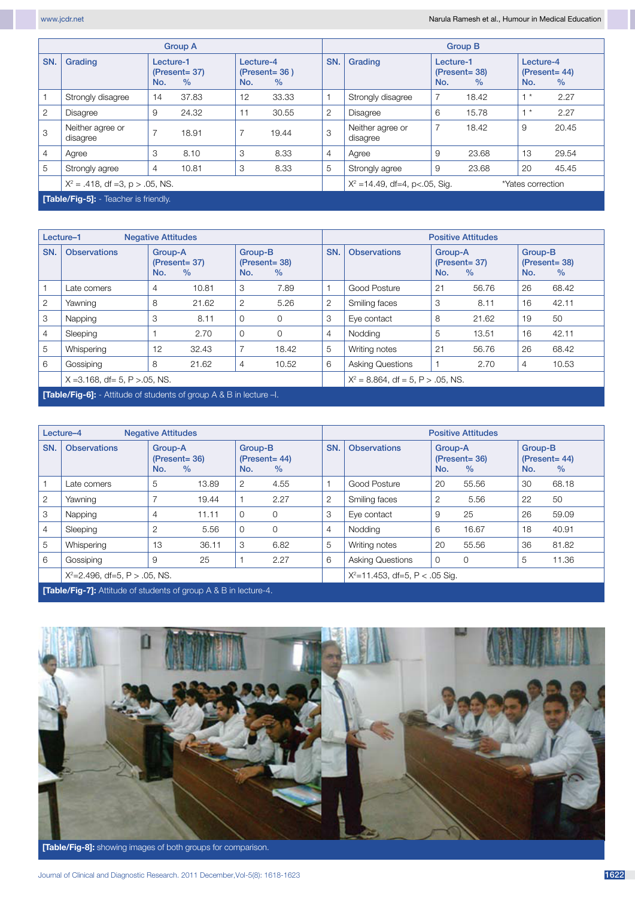|                |                                             |                                                       | <b>Group A</b> |                                              |                                                        | <b>Group B</b> |                              |                                              |       |                                      |       |  |
|----------------|---------------------------------------------|-------------------------------------------------------|----------------|----------------------------------------------|--------------------------------------------------------|----------------|------------------------------|----------------------------------------------|-------|--------------------------------------|-------|--|
| SN.            | Grading                                     | Lecture-1<br>$(Present = 37)$<br>$\frac{0}{0}$<br>No. |                | Lecture-4<br>$(Present = 36)$<br>$\%$<br>No. |                                                        | SN.            | Grading                      | Lecture-1<br>$(Present = 38)$<br>No.<br>$\%$ |       | Lecture-4<br>$(Present = 44)$<br>No. | $\%$  |  |
|                | Strongly disagree                           | 14                                                    | 37.83          | 12                                           | 33.33                                                  |                | Strongly disagree            |                                              | 18.42 | $1^*$                                | 2.27  |  |
| $\overline{2}$ | <b>Disagree</b>                             | 9                                                     | 24.32          | 11                                           | 30.55                                                  | $\overline{2}$ | Disagree                     | 6                                            | 15.78 | $+$ $*$                              | 2.27  |  |
| 3              | Neither agree or<br>disagree                | $\overline{7}$                                        | 18.91          |                                              | 19.44                                                  | 3              | Neither agree or<br>disagree | $\overline{7}$                               | 18.42 | 9                                    | 20.45 |  |
| $\overline{4}$ | Agree                                       | 3                                                     | 8.10           | 3                                            | 8.33                                                   | $\overline{4}$ | Agree                        | 9                                            | 23.68 | 13                                   | 29.54 |  |
| 5              | Strongly agree                              | $\overline{4}$                                        | 10.81          | 3                                            | 8.33                                                   | 5              | Strongly agree               | 9                                            | 23.68 | 20                                   | 45.45 |  |
|                | $X^2 = .418$ , df =3, p > .05, NS.          |                                                       |                |                                              | $X^2 = 14.49$ , df=4, p<.05, Sig.<br>*Yates correction |                |                              |                                              |       |                                      |       |  |
|                | <b>Table/Fig-5]:</b> - Teacher is friendly. |                                                       |                |                                              |                                                        |                |                              |                                              |       |                                      |       |  |

|                | Lecture-1<br><b>Negative Attitudes</b>                                          |     |                                     |                |                                            |                | <b>Positive Attitudes</b>            |     |                                     |                |                                     |  |  |
|----------------|---------------------------------------------------------------------------------|-----|-------------------------------------|----------------|--------------------------------------------|----------------|--------------------------------------|-----|-------------------------------------|----------------|-------------------------------------|--|--|
| SN.            | <b>Observations</b>                                                             | No. | Group-A<br>$(Present = 37)$<br>$\%$ |                | Group-B<br>$(Present = 38)$<br>No.<br>$\%$ |                | <b>Observations</b>                  | No. | Group-A<br>$(Present = 37)$<br>$\%$ |                | Group-B<br>$(Present = 38)$<br>$\%$ |  |  |
|                | Late comers                                                                     | 4   | 10.81                               | 3              | 7.89                                       |                | Good Posture                         | 21  | 56.76                               | 26             | 68.42                               |  |  |
| 2              | Yawning                                                                         | 8   | 21.62                               | 2              | 5.26                                       | $\overline{2}$ | Smiling faces                        | 3   | 8.11                                | 16             | 42.11                               |  |  |
| 3              | Napping                                                                         | 3   | 8.11                                | $\Omega$       | $\Omega$                                   | 3              | Eye contact                          | 8   | 21.62                               | 19             | 50                                  |  |  |
| $\overline{4}$ | Sleeping                                                                        |     | 2.70                                | $\Omega$       | $\Omega$                                   | $\overline{4}$ | Nodding                              | 5   | 13.51                               | 16             | 42.11                               |  |  |
| 5              | Whispering                                                                      | 12  | 32.43                               |                | 18.42                                      | 5              | Writing notes                        | 21  | 56.76                               | 26             | 68.42                               |  |  |
| 6              | Gossiping                                                                       | 8   | 21.62                               | $\overline{4}$ | 10.52                                      | 6              | <b>Asking Questions</b>              |     | 2.70                                | $\overline{4}$ | 10.53                               |  |  |
|                | $X = 3.168$ , df= 5, P > 05, NS.                                                |     |                                     |                |                                            |                | $X^2 = 8.864$ , df = 5, P > .05, NS. |     |                                     |                |                                     |  |  |
|                | <b>Table/Fig-61:</b> - Attitude of students of group $A \& B$ in lecture $-I$ . |     |                                     |                |                                            |                |                                      |     |                                     |                |                                     |  |  |

|                | Lecture-4<br><b>Negative Attitudes</b>                                                                                                                                                                                               |                |                                              |          |                                                   |                | <b>Positive Attitudes</b> |                                            |             |                |                          |  |  |
|----------------|--------------------------------------------------------------------------------------------------------------------------------------------------------------------------------------------------------------------------------------|----------------|----------------------------------------------|----------|---------------------------------------------------|----------------|---------------------------|--------------------------------------------|-------------|----------------|--------------------------|--|--|
| SN.            | <b>Observations</b>                                                                                                                                                                                                                  | No.            | Group-A<br>$(Present = 36)$<br>$\frac{0}{0}$ |          | SN.<br>Group-B<br>$(Present = 44)$<br>$\%$<br>No. |                | <b>Observations</b>       | Group-A<br>$(Present = 36)$<br>No.<br>$\%$ |             | Group-B<br>No. | $(Present = 44)$<br>$\%$ |  |  |
|                | Late comers                                                                                                                                                                                                                          | 5              | 13.89                                        | 2        | 4.55                                              |                | Good Posture              | 20                                         | 55.56       | 30             | 68.18                    |  |  |
| $\overline{2}$ | Yawning                                                                                                                                                                                                                              |                | 19.44                                        |          | 2.27                                              | $\overline{2}$ | Smiling faces             | 2                                          | 5.56        | 22             | 50                       |  |  |
| 3              | Napping                                                                                                                                                                                                                              | $\overline{4}$ | 11.11                                        | $\Omega$ | $\Omega$                                          | 3              | Eye contact               | 9                                          | 25          | 26             | 59.09                    |  |  |
| $\overline{4}$ | Sleeping                                                                                                                                                                                                                             | $\overline{2}$ | 5.56                                         | $\Omega$ | $\Omega$                                          | $\overline{4}$ | Nodding                   | 6                                          | 16.67       | 18             | 40.91                    |  |  |
| 5              | Whispering                                                                                                                                                                                                                           | 13             | 36.11                                        | 3        | 6.82                                              | 5              | Writing notes             | 20                                         | 55.56       | 36             | 81.82                    |  |  |
| 6              | Gossiping                                                                                                                                                                                                                            | 9              | 25                                           |          | 2.27                                              | 6              | <b>Asking Questions</b>   | $\Omega$                                   | $\mathbf 0$ | 5              | 11.36                    |  |  |
|                | $X^2 = 2.496$ , df=5, P > .05, NS.                                                                                                                                                                                                   |                |                                              |          | $X^2 = 11.453$ , df=5, P < .05 Sig.               |                |                           |                                            |             |                |                          |  |  |
|                | <b>President and the state of the state of the state of the state of the state of the state of the state of the state of the state of the state of the state of the state of the state of the state of the state of the state of</b> |                |                                              |          |                                                   |                |                           |                                            |             |                |                          |  |  |

**[Table/Fig-7]:** Attitude of students of group A & B in lecture-4.



**[Table/Fig-8]:** showing images of both groups for comparison.